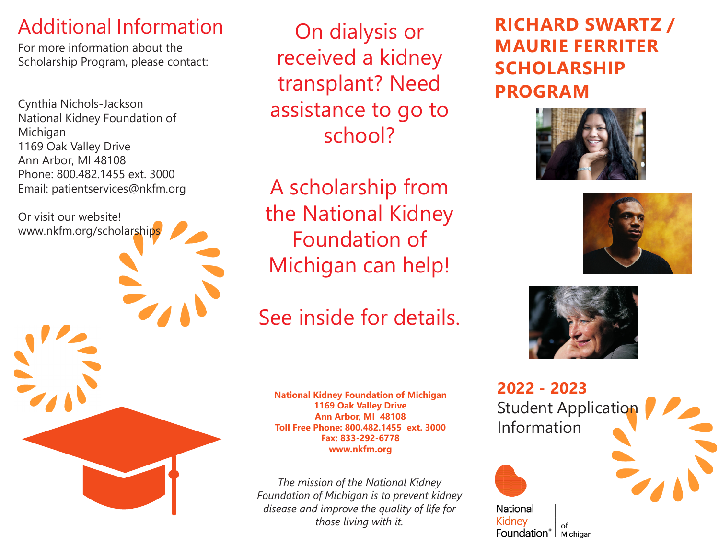### Additional Information

For more information about the Scholarship Program, please contact:

Cynthia Nichols-Jackson National Kidney Foundation of Michigan 1169 Oak Valley Drive Ann Arbor, MI 48108 Phone: 800.482.1455 ext. 3000 Email: patientservices@nkfm.org

Or visit our website!

www.nkfm.org/scholarships

On dialysis or received a kidney transplant? Need assistance to go to school?

A scholarship from the National Kidney Foundation of Michigan can help!

See inside for details.

**National Kidney Foundation of Michigan 1169 Oak Valley Drive Ann Arbor, MI 48108 Toll Free Phone: 800.482.1455 ext. 3000 Fax: 833-292-6778 www.nkfm.org**

*The mission of the National Kidney Foundation of Michigan is to prevent kidney disease and improve the quality of life for those living with it.*

**RICHARD SWARTZ / MAURIE FERRITER SCHOLARSHIP PROGRAM**







**2022 - 2023** Student Application Information